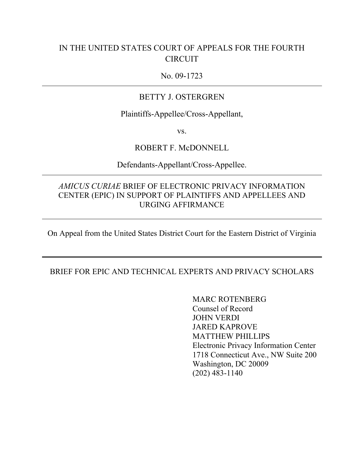### IN THE UNITED STATES COURT OF APPEALS FOR THE FOURTH CIRCUIT

#### No. 09-1723

#### BETTY J. OSTERGREN

Plaintiffs-Appellee/Cross-Appellant,

vs.

#### ROBERT F. McDONNELL

Defendants-Appellant/Cross-Appellee.

#### *AMICUS CURIAE* BRIEF OF ELECTRONIC PRIVACY INFORMATION CENTER (EPIC) IN SUPPORT OF PLAINTIFFS AND APPELLEES AND URGING AFFIRMANCE

On Appeal from the United States District Court for the Eastern District of Virginia

#### BRIEF FOR EPIC AND TECHNICAL EXPERTS AND PRIVACY SCHOLARS

MARC ROTENBERG Counsel of Record JOHN VERDI JARED KAPROVE MATTHEW PHILLIPS Electronic Privacy Information Center 1718 Connecticut Ave., NW Suite 200 Washington, DC 20009 (202) 483-1140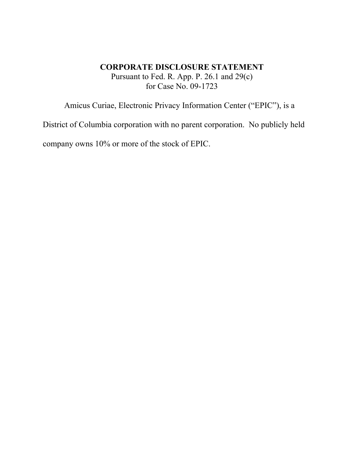### **CORPORATE DISCLOSURE STATEMENT** Pursuant to Fed. R. App. P. 26.1 and 29(c) for Case No. 09-1723

Amicus Curiae, Electronic Privacy Information Center ("EPIC"), is a

District of Columbia corporation with no parent corporation. No publicly held company owns 10% or more of the stock of EPIC.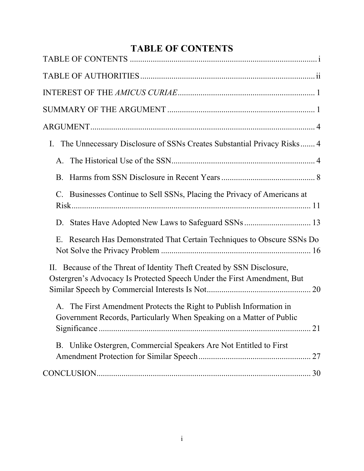# **TABLE OF CONTENTS**

| The Unnecessary Disclosure of SSNs Creates Substantial Privacy Risks 4<br>$I_{\cdot}$                                                             |  |
|---------------------------------------------------------------------------------------------------------------------------------------------------|--|
|                                                                                                                                                   |  |
| B.                                                                                                                                                |  |
| C. Businesses Continue to Sell SSNs, Placing the Privacy of Americans at                                                                          |  |
| D.                                                                                                                                                |  |
| E. Research Has Demonstrated That Certain Techniques to Obscure SSNs Do                                                                           |  |
| II. Because of the Threat of Identity Theft Created by SSN Disclosure,<br>Ostergren's Advocacy Is Protected Speech Under the First Amendment, But |  |
| The First Amendment Protects the Right to Publish Information in<br>A.<br>Government Records, Particularly When Speaking on a Matter of Public    |  |
| B. Unlike Ostergren, Commercial Speakers Are Not Entitled to First                                                                                |  |
|                                                                                                                                                   |  |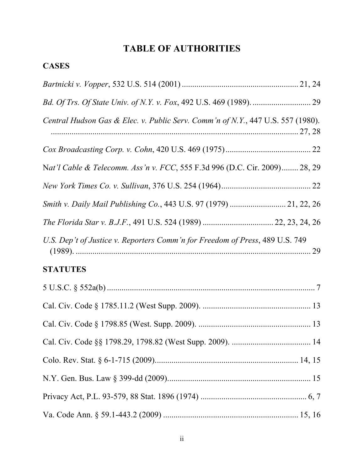# **TABLE OF AUTHORITIES**

| Central Hudson Gas & Elec. v. Public Serv. Comm'n of N.Y., 447 U.S. 557 (1980). |  |
|---------------------------------------------------------------------------------|--|
|                                                                                 |  |
| Nat'l Cable & Telecomm. Ass'n v. FCC, 555 F.3d 996 (D.C. Cir. 2009) 28, 29      |  |
|                                                                                 |  |
| Smith v. Daily Mail Publishing Co., 443 U.S. 97 (1979)  21, 22, 26              |  |
|                                                                                 |  |
| U.S. Dep't of Justice v. Reporters Comm'n for Freedom of Press, 489 U.S. 749    |  |
| <b>STATUTES</b>                                                                 |  |
|                                                                                 |  |
|                                                                                 |  |
|                                                                                 |  |
|                                                                                 |  |
|                                                                                 |  |
|                                                                                 |  |
|                                                                                 |  |
|                                                                                 |  |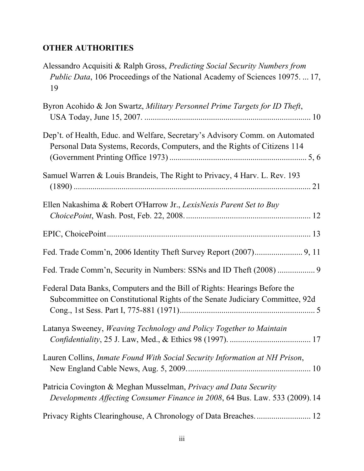## **OTHER AUTHORITIES**

| Alessandro Acquisiti & Ralph Gross, Predicting Social Security Numbers from<br><i>Public Data</i> , 106 Proceedings of the National Academy of Sciences 10975 17,<br>19 |
|-------------------------------------------------------------------------------------------------------------------------------------------------------------------------|
| Byron Acohido & Jon Swartz, Military Personnel Prime Targets for ID Theft,                                                                                              |
| Dep't. of Health, Educ. and Welfare, Secretary's Advisory Comm. on Automated<br>Personal Data Systems, Records, Computers, and the Rights of Citizens 114               |
| Samuel Warren & Louis Brandeis, The Right to Privacy, 4 Harv. L. Rev. 193                                                                                               |
| Ellen Nakashima & Robert O'Harrow Jr., LexisNexis Parent Set to Buy                                                                                                     |
|                                                                                                                                                                         |
|                                                                                                                                                                         |
| Fed. Trade Comm'n, Security in Numbers: SSNs and ID Theft (2008)  9                                                                                                     |
| Federal Data Banks, Computers and the Bill of Rights: Hearings Before the<br>Subcommittee on Constitutional Rights of the Senate Judiciary Committee, 92d               |
| Latanya Sweeney, Weaving Technology and Policy Together to Maintain                                                                                                     |
| Lauren Collins, Inmate Found With Social Security Information at NH Prison,                                                                                             |
| Patricia Covington & Meghan Musselman, Privacy and Data Security<br>Developments Affecting Consumer Finance in 2008, 64 Bus. Law. 533 (2009). 14                        |
|                                                                                                                                                                         |
|                                                                                                                                                                         |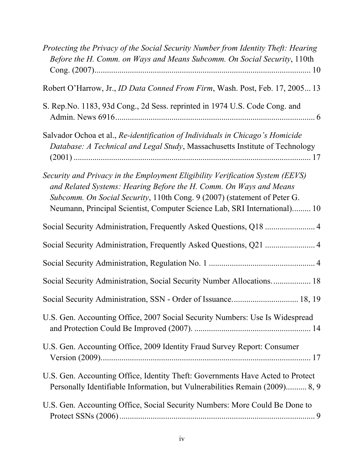| Protecting the Privacy of the Social Security Number from Identity Theft: Hearing<br>Before the H. Comm. on Ways and Means Subcomm. On Social Security, 110th                                                                                                                                                |
|--------------------------------------------------------------------------------------------------------------------------------------------------------------------------------------------------------------------------------------------------------------------------------------------------------------|
| Robert O'Harrow, Jr., <i>ID Data Conned From Firm</i> , Wash. Post, Feb. 17, 2005 13                                                                                                                                                                                                                         |
| S. Rep. No. 1183, 93d Cong., 2d Sess. reprinted in 1974 U.S. Code Cong. and                                                                                                                                                                                                                                  |
| Salvador Ochoa et al., Re-identification of Individuals in Chicago's Homicide<br>Database: A Technical and Legal Study, Massachusetts Institute of Technology                                                                                                                                                |
| Security and Privacy in the Employment Eligibility Verification System (EEVS)<br>and Related Systems: Hearing Before the H. Comm. On Ways and Means<br>Subcomm. On Social Security, 110th Cong. 9 (2007) (statement of Peter G.<br>Neumann, Principal Scientist, Computer Science Lab, SRI International) 10 |
|                                                                                                                                                                                                                                                                                                              |
|                                                                                                                                                                                                                                                                                                              |
|                                                                                                                                                                                                                                                                                                              |
| Social Security Administration, Social Security Number Allocations 18                                                                                                                                                                                                                                        |
|                                                                                                                                                                                                                                                                                                              |
| U.S. Gen. Accounting Office, 2007 Social Security Numbers: Use Is Widespread                                                                                                                                                                                                                                 |
| U.S. Gen. Accounting Office, 2009 Identity Fraud Survey Report: Consumer                                                                                                                                                                                                                                     |
| U.S. Gen. Accounting Office, Identity Theft: Governments Have Acted to Protect<br>Personally Identifiable Information, but Vulnerabilities Remain (2009) 8, 9                                                                                                                                                |
| U.S. Gen. Accounting Office, Social Security Numbers: More Could Be Done to                                                                                                                                                                                                                                  |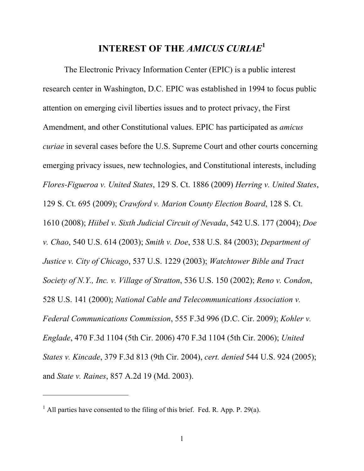# **INTEREST OF THE** *AMICUS CURIAE***<sup>1</sup>**

The Electronic Privacy Information Center (EPIC) is a public interest research center in Washington, D.C. EPIC was established in 1994 to focus public attention on emerging civil liberties issues and to protect privacy, the First Amendment, and other Constitutional values. EPIC has participated as *amicus curiae* in several cases before the U.S. Supreme Court and other courts concerning emerging privacy issues, new technologies, and Constitutional interests, including *Flores-Figueroa v. United States*, 129 S. Ct. 1886 (2009) *Herring v. United States*, 129 S. Ct. 695 (2009); *Crawford v. Marion County Election Board*, 128 S. Ct. 1610 (2008); *Hiibel v. Sixth Judicial Circuit of Nevada*, 542 U.S. 177 (2004); *Doe v. Chao*, 540 U.S. 614 (2003); *Smith v. Doe*, 538 U.S. 84 (2003); *Department of Justice v. City of Chicago*, 537 U.S. 1229 (2003); *Watchtower Bible and Tract Society of N.Y., Inc. v. Village of Stratton*, 536 U.S. 150 (2002); *Reno v. Condon*, 528 U.S. 141 (2000); *National Cable and Telecommunications Association v. Federal Communications Commission*, 555 F.3d 996 (D.C. Cir. 2009); *Kohler v. Englade*, 470 F.3d 1104 (5th Cir. 2006) 470 F.3d 1104 (5th Cir. 2006); *United States v. Kincade*, 379 F.3d 813 (9th Cir. 2004), *cert. denied* 544 U.S. 924 (2005); and *State v. Raines*, 857 A.2d 19 (Md. 2003).

 $<sup>1</sup>$  All parties have consented to the filing of this brief. Fed. R. App. P. 29(a).</sup>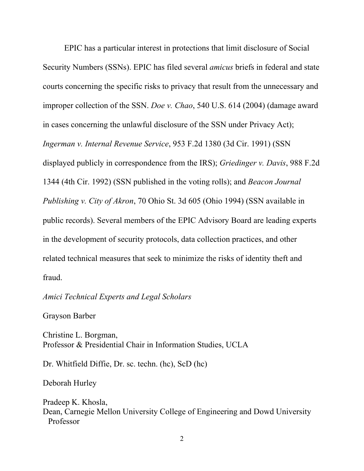EPIC has a particular interest in protections that limit disclosure of Social Security Numbers (SSNs). EPIC has filed several *amicus* briefs in federal and state courts concerning the specific risks to privacy that result from the unnecessary and improper collection of the SSN. *Doe v. Chao*, 540 U.S. 614 (2004) (damage award in cases concerning the unlawful disclosure of the SSN under Privacy Act); *Ingerman v. Internal Revenue Service*, 953 F.2d 1380 (3d Cir. 1991) (SSN displayed publicly in correspondence from the IRS); *Griedinger v. Davis*, 988 F.2d 1344 (4th Cir. 1992) (SSN published in the voting rolls); and *Beacon Journal Publishing v. City of Akron*, 70 Ohio St. 3d 605 (Ohio 1994) (SSN available in public records). Several members of the EPIC Advisory Board are leading experts in the development of security protocols, data collection practices, and other related technical measures that seek to minimize the risks of identity theft and fraud.

#### *Amici Technical Experts and Legal Scholars*

Grayson Barber

Christine L. Borgman, Professor & Presidential Chair in Information Studies, UCLA

Dr. Whitfield Diffie, Dr. sc. techn. (hc), ScD (hc)

Deborah Hurley

Pradeep K. Khosla, Dean, Carnegie Mellon University College of Engineering and Dowd University Professor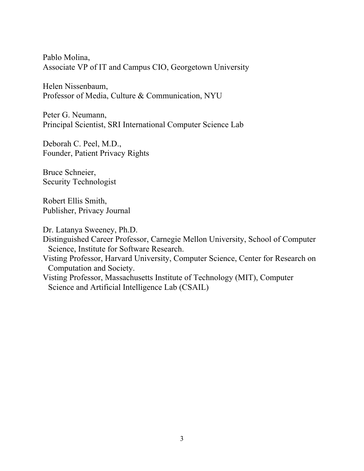Pablo Molina, Associate VP of IT and Campus CIO, Georgetown University

Helen Nissenbaum, Professor of Media, Culture & Communication, NYU

Peter G. Neumann, Principal Scientist, SRI International Computer Science Lab

Deborah C. Peel, M.D., Founder, Patient Privacy Rights

Bruce Schneier, Security Technologist

Robert Ellis Smith, Publisher, Privacy Journal

Dr. Latanya Sweeney, Ph.D.

Distinguished Career Professor, Carnegie Mellon University, School of Computer Science, Institute for Software Research.

Visting Professor, Harvard University, Computer Science, Center for Research on Computation and Society.

Visting Professor, Massachusetts Institute of Technology (MIT), Computer Science and Artificial Intelligence Lab (CSAIL)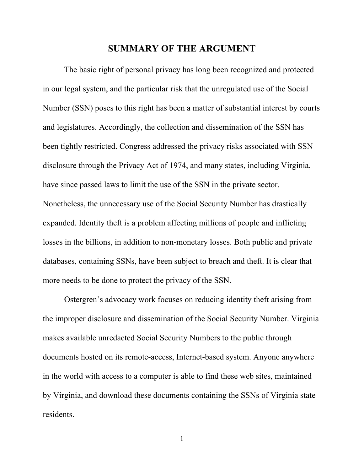#### **SUMMARY OF THE ARGUMENT**

The basic right of personal privacy has long been recognized and protected in our legal system, and the particular risk that the unregulated use of the Social Number (SSN) poses to this right has been a matter of substantial interest by courts and legislatures. Accordingly, the collection and dissemination of the SSN has been tightly restricted. Congress addressed the privacy risks associated with SSN disclosure through the Privacy Act of 1974, and many states, including Virginia, have since passed laws to limit the use of the SSN in the private sector. Nonetheless, the unnecessary use of the Social Security Number has drastically expanded. Identity theft is a problem affecting millions of people and inflicting losses in the billions, in addition to non-monetary losses. Both public and private databases, containing SSNs, have been subject to breach and theft. It is clear that more needs to be done to protect the privacy of the SSN.

Ostergren's advocacy work focuses on reducing identity theft arising from the improper disclosure and dissemination of the Social Security Number. Virginia makes available unredacted Social Security Numbers to the public through documents hosted on its remote-access, Internet-based system. Anyone anywhere in the world with access to a computer is able to find these web sites, maintained by Virginia, and download these documents containing the SSNs of Virginia state residents.

1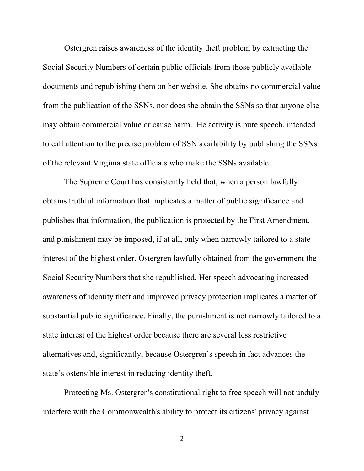Ostergren raises awareness of the identity theft problem by extracting the Social Security Numbers of certain public officials from those publicly available documents and republishing them on her website. She obtains no commercial value from the publication of the SSNs, nor does she obtain the SSNs so that anyone else may obtain commercial value or cause harm. He activity is pure speech, intended to call attention to the precise problem of SSN availability by publishing the SSNs of the relevant Virginia state officials who make the SSNs available.

The Supreme Court has consistently held that, when a person lawfully obtains truthful information that implicates a matter of public significance and publishes that information, the publication is protected by the First Amendment, and punishment may be imposed, if at all, only when narrowly tailored to a state interest of the highest order. Ostergren lawfully obtained from the government the Social Security Numbers that she republished. Her speech advocating increased awareness of identity theft and improved privacy protection implicates a matter of substantial public significance. Finally, the punishment is not narrowly tailored to a state interest of the highest order because there are several less restrictive alternatives and, significantly, because Ostergren's speech in fact advances the state's ostensible interest in reducing identity theft.

Protecting Ms. Ostergren's constitutional right to free speech will not unduly interfere with the Commonwealth's ability to protect its citizens' privacy against

2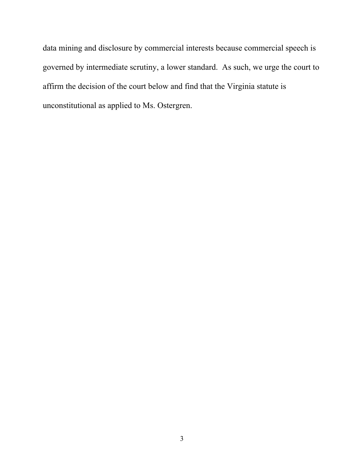data mining and disclosure by commercial interests because commercial speech is governed by intermediate scrutiny, a lower standard. As such, we urge the court to affirm the decision of the court below and find that the Virginia statute is unconstitutional as applied to Ms. Ostergren.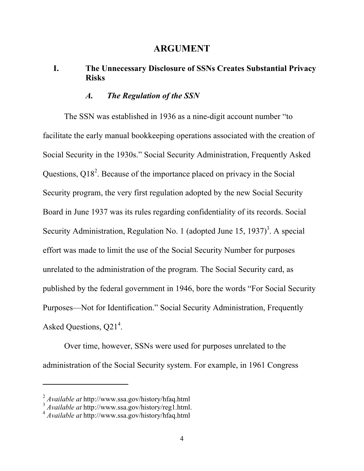### **ARGUMENT**

### **I. The Unnecessary Disclosure of SSNs Creates Substantial Privacy Risks**

### *A. The Regulation of the SSN*

The SSN was established in 1936 as a nine-digit account number "to facilitate the early manual bookkeeping operations associated with the creation of Social Security in the 1930s." Social Security Administration, Frequently Asked Questions,  $Q18<sup>2</sup>$ . Because of the importance placed on privacy in the Social Security program, the very first regulation adopted by the new Social Security Board in June 1937 was its rules regarding confidentiality of its records. Social Security Administration, Regulation No. 1 (adopted June 15, 1937)<sup>3</sup>. A special effort was made to limit the use of the Social Security Number for purposes unrelated to the administration of the program. The Social Security card, as published by the federal government in 1946, bore the words "For Social Security Purposes—Not for Identification." Social Security Administration, Frequently Asked Questions, Q21<sup>4</sup>.

Over time, however, SSNs were used for purposes unrelated to the administration of the Social Security system. For example, in 1961 Congress

<sup>2</sup> *Available at* http://www.ssa.gov/history/hfaq.html

<sup>3</sup> *Available at* http://www.ssa.gov/history/reg1.html.

<sup>4</sup> *Available at* http://www.ssa.gov/history/hfaq.html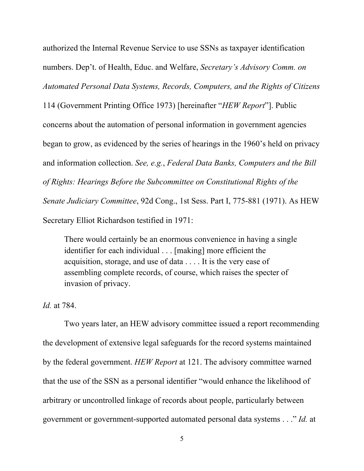authorized the Internal Revenue Service to use SSNs as taxpayer identification numbers. Dep't. of Health, Educ. and Welfare, *Secretary's Advisory Comm. on Automated Personal Data Systems, Records, Computers, and the Rights of Citizens* 

114 (Government Printing Office 1973) [hereinafter "*HEW Report*"]. Public concerns about the automation of personal information in government agencies began to grow, as evidenced by the series of hearings in the 1960's held on privacy and information collection. *See, e.g.*, *Federal Data Banks, Computers and the Bill of Rights: Hearings Before the Subcommittee on Constitutional Rights of the Senate Judiciary Committee*, 92d Cong., 1st Sess. Part I, 775-881 (1971). As HEW Secretary Elliot Richardson testified in 1971:

There would certainly be an enormous convenience in having a single identifier for each individual . . . [making] more efficient the acquisition, storage, and use of data . . . . It is the very ease of assembling complete records, of course, which raises the specter of invasion of privacy.

*Id.* at 784.

Two years later, an HEW advisory committee issued a report recommending the development of extensive legal safeguards for the record systems maintained by the federal government. *HEW Report* at 121. The advisory committee warned that the use of the SSN as a personal identifier "would enhance the likelihood of arbitrary or uncontrolled linkage of records about people, particularly between government or government-supported automated personal data systems . . ." *Id.* at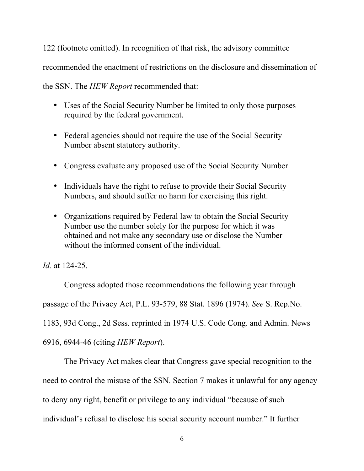122 (footnote omitted). In recognition of that risk, the advisory committee recommended the enactment of restrictions on the disclosure and dissemination of

the SSN. The *HEW Report* recommended that:

- Uses of the Social Security Number be limited to only those purposes required by the federal government.
- Federal agencies should not require the use of the Social Security Number absent statutory authority.
- Congress evaluate any proposed use of the Social Security Number
- Individuals have the right to refuse to provide their Social Security Numbers, and should suffer no harm for exercising this right.
- Organizations required by Federal law to obtain the Social Security Number use the number solely for the purpose for which it was obtained and not make any secondary use or disclose the Number without the informed consent of the individual.

*Id.* at 124-25.

Congress adopted those recommendations the following year through passage of the Privacy Act, P.L. 93-579, 88 Stat. 1896 (1974). *See* S. Rep.No. 1183, 93d Cong., 2d Sess. reprinted in 1974 U.S. Code Cong. and Admin. News 6916, 6944-46 (citing *HEW Report*).

The Privacy Act makes clear that Congress gave special recognition to the need to control the misuse of the SSN. Section 7 makes it unlawful for any agency to deny any right, benefit or privilege to any individual "because of such individual's refusal to disclose his social security account number." It further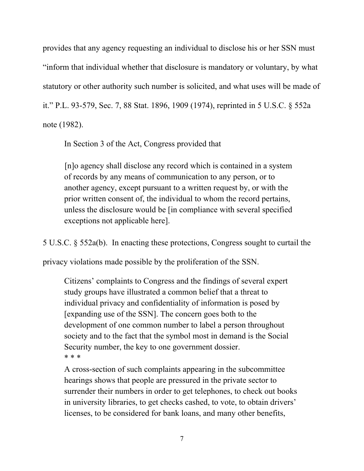provides that any agency requesting an individual to disclose his or her SSN must "inform that individual whether that disclosure is mandatory or voluntary, by what statutory or other authority such number is solicited, and what uses will be made of it." P.L. 93-579, Sec. 7, 88 Stat. 1896, 1909 (1974), reprinted in 5 U.S.C. § 552a note (1982).

In Section 3 of the Act, Congress provided that

[n]o agency shall disclose any record which is contained in a system of records by any means of communication to any person, or to another agency, except pursuant to a written request by, or with the prior written consent of, the individual to whom the record pertains, unless the disclosure would be [in compliance with several specified exceptions not applicable here].

5 U.S.C. § 552a(b). In enacting these protections, Congress sought to curtail the

privacy violations made possible by the proliferation of the SSN.

Citizens' complaints to Congress and the findings of several expert study groups have illustrated a common belief that a threat to individual privacy and confidentiality of information is posed by [expanding use of the SSN]. The concern goes both to the development of one common number to label a person throughout society and to the fact that the symbol most in demand is the Social Security number, the key to one government dossier. \* \* \*

A cross-section of such complaints appearing in the subcommittee hearings shows that people are pressured in the private sector to surrender their numbers in order to get telephones, to check out books in university libraries, to get checks cashed, to vote, to obtain drivers' licenses, to be considered for bank loans, and many other benefits,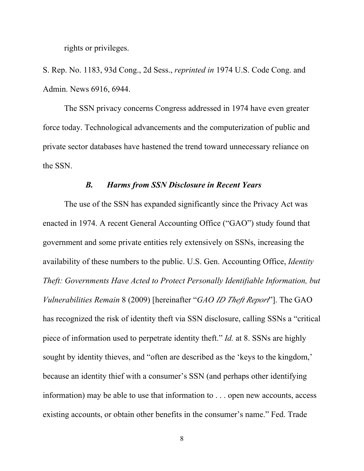rights or privileges.

S. Rep. No. 1183, 93d Cong., 2d Sess., *reprinted in* 1974 U.S. Code Cong. and Admin. News 6916, 6944.

The SSN privacy concerns Congress addressed in 1974 have even greater force today. Technological advancements and the computerization of public and private sector databases have hastened the trend toward unnecessary reliance on the SSN.

#### *B. Harms from SSN Disclosure in Recent Years*

The use of the SSN has expanded significantly since the Privacy Act was enacted in 1974. A recent General Accounting Office ("GAO") study found that government and some private entities rely extensively on SSNs, increasing the availability of these numbers to the public. U.S. Gen. Accounting Office, *Identity Theft: Governments Have Acted to Protect Personally Identifiable Information, but Vulnerabilities Remain* 8 (2009) [hereinafter "*GAO ID Theft Report*"]. The GAO has recognized the risk of identity theft via SSN disclosure, calling SSNs a "critical piece of information used to perpetrate identity theft." *Id.* at 8. SSNs are highly sought by identity thieves, and "often are described as the 'keys to the kingdom,' because an identity thief with a consumer's SSN (and perhaps other identifying information) may be able to use that information to . . . open new accounts, access existing accounts, or obtain other benefits in the consumer's name." Fed. Trade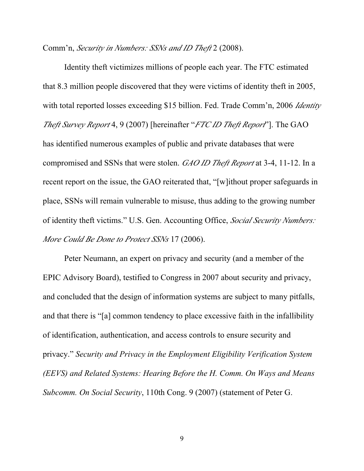Comm'n, *Security in Numbers: SSNs and ID Theft* 2 (2008).

Identity theft victimizes millions of people each year. The FTC estimated that 8.3 million people discovered that they were victims of identity theft in 2005, with total reported losses exceeding \$15 billion. Fed. Trade Comm'n, 2006 *Identity Theft Survey Report* 4, 9 (2007) [hereinafter "*FTC ID Theft Report*"]. The GAO has identified numerous examples of public and private databases that were compromised and SSNs that were stolen. *GAO ID Theft Report* at 3-4, 11-12. In a recent report on the issue, the GAO reiterated that, "[w]ithout proper safeguards in place, SSNs will remain vulnerable to misuse, thus adding to the growing number of identity theft victims." U.S. Gen. Accounting Office, *Social Security Numbers: More Could Be Done to Protect SSNs* 17 (2006).

Peter Neumann, an expert on privacy and security (and a member of the EPIC Advisory Board), testified to Congress in 2007 about security and privacy, and concluded that the design of information systems are subject to many pitfalls, and that there is "[a] common tendency to place excessive faith in the infallibility of identification, authentication, and access controls to ensure security and privacy." *Security and Privacy in the Employment Eligibility Verification System (EEVS) and Related Systems: Hearing Before the H. Comm. On Ways and Means Subcomm. On Social Security*, 110th Cong. 9 (2007) (statement of Peter G.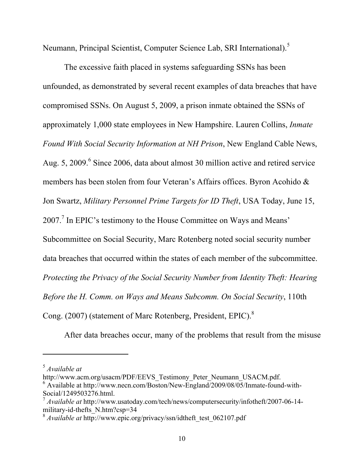Neumann, Principal Scientist, Computer Science Lab, SRI International).<sup>5</sup>

The excessive faith placed in systems safeguarding SSNs has been unfounded, as demonstrated by several recent examples of data breaches that have compromised SSNs. On August 5, 2009, a prison inmate obtained the SSNs of approximately 1,000 state employees in New Hampshire. Lauren Collins, *Inmate Found With Social Security Information at NH Prison*, New England Cable News, Aug. 5, 2009.<sup>6</sup> Since 2006, data about almost 30 million active and retired service members has been stolen from four Veteran's Affairs offices. Byron Acohido & Jon Swartz, *Military Personnel Prime Targets for ID Theft*, USA Today, June 15, 2007.<sup>7</sup> In EPIC's testimony to the House Committee on Ways and Means' Subcommittee on Social Security, Marc Rotenberg noted social security number data breaches that occurred within the states of each member of the subcommittee. *Protecting the Privacy of the Social Security Number from Identity Theft: Hearing Before the H. Comm. on Ways and Means Subcomm. On Social Security*, 110th Cong. (2007) (statement of Marc Rotenberg, President, EPIC).<sup>8</sup>

After data breaches occur, many of the problems that result from the misuse

<sup>5</sup> *Available at*

http://www.acm.org/usacm/PDF/EEVS\_Testimony\_Peter\_Neumann\_USACM.pdf. <sup>6</sup> Available at http://www.necn.com/Boston/New-England/2009/08/05/Inmate-found-with-Social/1249503276.html.

<sup>7</sup> *Available at* http://www.usatoday.com/tech/news/computersecurity/infotheft/2007-06-14 military-id-thefts\_N.htm?csp=34

<sup>8</sup> *Available at* http://www.epic.org/privacy/ssn/idtheft\_test\_062107.pdf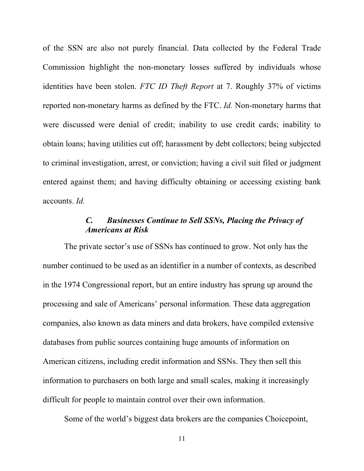of the SSN are also not purely financial. Data collected by the Federal Trade Commission highlight the non-monetary losses suffered by individuals whose identities have been stolen. *FTC ID Theft Report* at 7. Roughly 37% of victims reported non-monetary harms as defined by the FTC. *Id.* Non-monetary harms that were discussed were denial of credit; inability to use credit cards; inability to obtain loans; having utilities cut off; harassment by debt collectors; being subjected to criminal investigation, arrest, or conviction; having a civil suit filed or judgment entered against them; and having difficulty obtaining or accessing existing bank accounts. *Id.*

### *C. Businesses Continue to Sell SSNs, Placing the Privacy of Americans at Risk*

The private sector's use of SSNs has continued to grow. Not only has the number continued to be used as an identifier in a number of contexts, as described in the 1974 Congressional report, but an entire industry has sprung up around the processing and sale of Americans' personal information. These data aggregation companies, also known as data miners and data brokers, have compiled extensive databases from public sources containing huge amounts of information on American citizens, including credit information and SSNs. They then sell this information to purchasers on both large and small scales, making it increasingly difficult for people to maintain control over their own information.

Some of the world's biggest data brokers are the companies Choicepoint,

11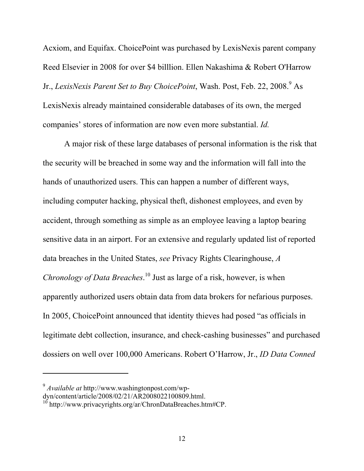Acxiom, and Equifax. ChoicePoint was purchased by LexisNexis parent company Reed Elsevier in 2008 for over \$4 billlion. Ellen Nakashima & Robert O'Harrow Jr., *LexisNexis Parent Set to Buy ChoicePoint*, Wash. Post, Feb. 22, 2008.<sup>9</sup> As LexisNexis already maintained considerable databases of its own, the merged companies' stores of information are now even more substantial. *Id.*

A major risk of these large databases of personal information is the risk that the security will be breached in some way and the information will fall into the hands of unauthorized users. This can happen a number of different ways, including computer hacking, physical theft, dishonest employees, and even by accident, through something as simple as an employee leaving a laptop bearing sensitive data in an airport. For an extensive and regularly updated list of reported data breaches in the United States, *see* Privacy Rights Clearinghouse, *A Chronology of Data Breaches*. 10 Just as large of a risk, however, is when apparently authorized users obtain data from data brokers for nefarious purposes. In 2005, ChoicePoint announced that identity thieves had posed "as officials in legitimate debt collection, insurance, and check-cashing businesses" and purchased dossiers on well over 100,000 Americans. Robert O'Harrow, Jr., *ID Data Conned* 

<sup>9</sup> *Available at* http://www.washingtonpost.com/wp-

dyn/content/article/2008/02/21/AR2008022100809.html.

 $10$  http://www.privacyrights.org/ar/ChronDataBreaches.htm#CP.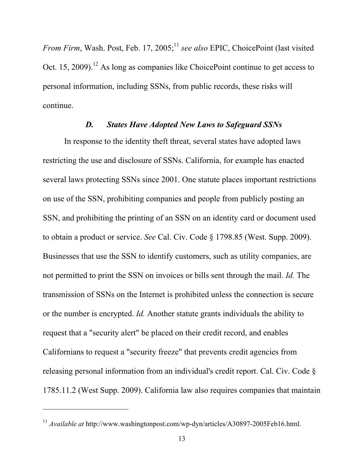From Firm, Wash. Post, Feb. 17, 2005;<sup>11</sup> see also EPIC, ChoicePoint (last visited Oct. 15, 2009).<sup>12</sup> As long as companies like ChoicePoint continue to get access to personal information, including SSNs, from public records, these risks will continue.

#### *D. States Have Adopted New Laws to Safeguard SSNs*

In response to the identity theft threat, several states have adopted laws restricting the use and disclosure of SSNs. California, for example has enacted several laws protecting SSNs since 2001. One statute places important restrictions on use of the SSN, prohibiting companies and people from publicly posting an SSN, and prohibiting the printing of an SSN on an identity card or document used to obtain a product or service. *See* Cal. Civ. Code § 1798.85 (West. Supp. 2009). Businesses that use the SSN to identify customers, such as utility companies, are not permitted to print the SSN on invoices or bills sent through the mail. *Id.* The transmission of SSNs on the Internet is prohibited unless the connection is secure or the number is encrypted. *Id.* Another statute grants individuals the ability to request that a "security alert" be placed on their credit record, and enables Californians to request a "security freeze" that prevents credit agencies from releasing personal information from an individual's credit report. Cal. Civ. Code § 1785.11.2 (West Supp. 2009). California law also requires companies that maintain

<sup>11</sup> *Available at* http://www.washingtonpost.com/wp-dyn/articles/A30897-2005Feb16.html.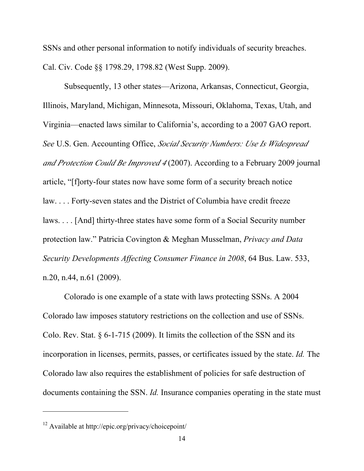SSNs and other personal information to notify individuals of security breaches. Cal. Civ. Code §§ 1798.29, 1798.82 (West Supp. 2009).

Subsequently, 13 other states—Arizona, Arkansas, Connecticut, Georgia, Illinois, Maryland, Michigan, Minnesota, Missouri, Oklahoma, Texas, Utah, and Virginia—enacted laws similar to California's, according to a 2007 GAO report. *See* U.S. Gen. Accounting Office, *Social Security Numbers: Use Is Widespread and Protection Could Be Improved 4* (2007). According to a February 2009 journal article, "[f]orty-four states now have some form of a security breach notice law. . . . Forty-seven states and the District of Columbia have credit freeze laws. . . . [And] thirty-three states have some form of a Social Security number protection law." Patricia Covington & Meghan Musselman, *Privacy and Data Security Developments Affecting Consumer Finance in 2008*, 64 Bus. Law. 533, n.20, n.44, n.61 (2009).

Colorado is one example of a state with laws protecting SSNs. A 2004 Colorado law imposes statutory restrictions on the collection and use of SSNs. Colo. Rev. Stat. § 6-1-715 (2009). It limits the collection of the SSN and its incorporation in licenses, permits, passes, or certificates issued by the state. *Id.* The Colorado law also requires the establishment of policies for safe destruction of documents containing the SSN. *Id.* Insurance companies operating in the state must

<sup>12</sup> Available at http://epic.org/privacy/choicepoint/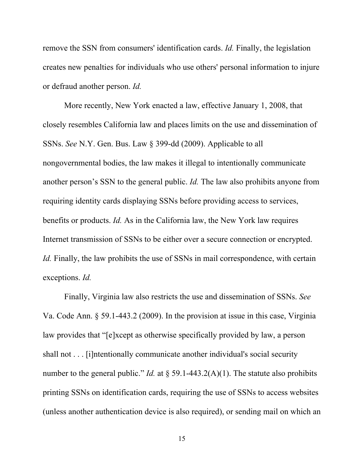remove the SSN from consumers' identification cards. *Id.* Finally, the legislation creates new penalties for individuals who use others' personal information to injure or defraud another person. *Id.*

More recently, New York enacted a law, effective January 1, 2008, that closely resembles California law and places limits on the use and dissemination of SSNs. *See* N.Y. Gen. Bus. Law § 399-dd (2009). Applicable to all nongovernmental bodies, the law makes it illegal to intentionally communicate another person's SSN to the general public. *Id.* The law also prohibits anyone from requiring identity cards displaying SSNs before providing access to services, benefits or products. *Id.* As in the California law, the New York law requires Internet transmission of SSNs to be either over a secure connection or encrypted. *Id.* Finally, the law prohibits the use of SSNs in mail correspondence, with certain exceptions. *Id.*

Finally, Virginia law also restricts the use and dissemination of SSNs. *See* Va. Code Ann. § 59.1-443.2 (2009). In the provision at issue in this case, Virginia law provides that "[e]xcept as otherwise specifically provided by law, a person shall not . . . [i]ntentionally communicate another individual's social security number to the general public." *Id.* at  $\frac{1}{2}$  59.1-443.2(A)(1). The statute also prohibits printing SSNs on identification cards, requiring the use of SSNs to access websites (unless another authentication device is also required), or sending mail on which an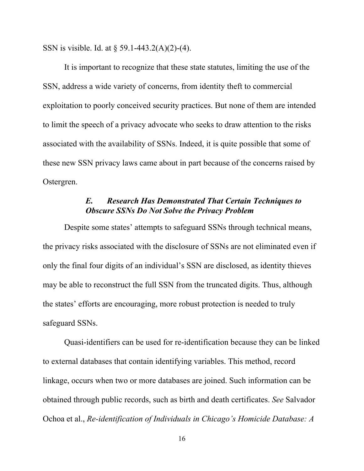SSN is visible. Id. at § 59.1-443.2(A)(2)-(4).

It is important to recognize that these state statutes, limiting the use of the SSN, address a wide variety of concerns, from identity theft to commercial exploitation to poorly conceived security practices. But none of them are intended to limit the speech of a privacy advocate who seeks to draw attention to the risks associated with the availability of SSNs. Indeed, it is quite possible that some of these new SSN privacy laws came about in part because of the concerns raised by Ostergren.

### *E. Research Has Demonstrated That Certain Techniques to Obscure SSNs Do Not Solve the Privacy Problem*

Despite some states' attempts to safeguard SSNs through technical means, the privacy risks associated with the disclosure of SSNs are not eliminated even if only the final four digits of an individual's SSN are disclosed, as identity thieves may be able to reconstruct the full SSN from the truncated digits. Thus, although the states' efforts are encouraging, more robust protection is needed to truly safeguard SSNs.

Quasi-identifiers can be used for re-identification because they can be linked to external databases that contain identifying variables. This method, record linkage, occurs when two or more databases are joined. Such information can be obtained through public records, such as birth and death certificates. *See* Salvador Ochoa et al., *Re-identification of Individuals in Chicago's Homicide Database: A* 

16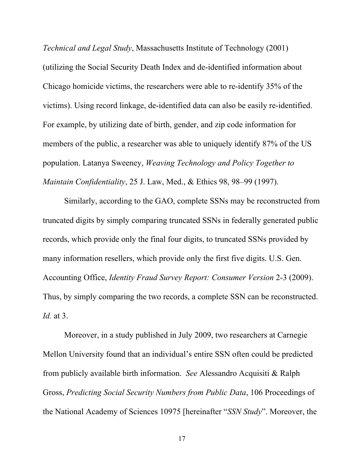*Technical and Legal Study*, Massachusetts Institute of Technology (2001) (utilizing the Social Security Death Index and de-identified information about Chicago homicide victims, the researchers were able to re-identify 35% of the victims). Using record linkage, de-identified data can also be easily re-identified. For example, by utilizing date of birth, gender, and zip code information for members of the public, a researcher was able to uniquely identify 87% of the US population. Latanya Sweeney, *Weaving Technology and Policy Together to Maintain Confidentiality*, 25 J. Law, Med., & Ethics 98, 98–99 (1997).

Similarly, according to the GAO, complete SSNs may be reconstructed from truncated digits by simply comparing truncated SSNs in federally generated public records, which provide only the final four digits, to truncated SSNs provided by many information resellers, which provide only the first five digits. U.S. Gen. Accounting Office, *Identity Fraud Survey Report: Consumer Version* 2-3 (2009). Thus, by simply comparing the two records, a complete SSN can be reconstructed. *Id.* at 3.

Moreover, in a study published in July 2009, two researchers at Carnegie Mellon University found that an individual's entire SSN often could be predicted from publicly available birth information. *See* Alessandro Acquisiti & Ralph Gross, *Predicting Social Security Numbers from Public Data*, 106 Proceedings of the National Academy of Sciences 10975 [hereinafter "*SSN Study*". Moreover, the

17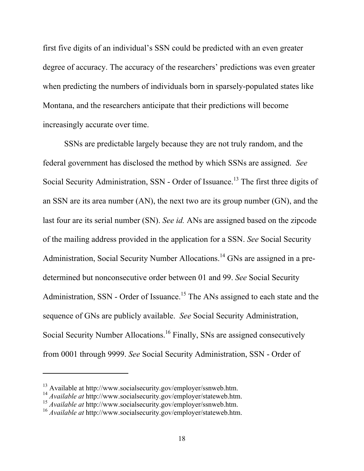first five digits of an individual's SSN could be predicted with an even greater degree of accuracy. The accuracy of the researchers' predictions was even greater when predicting the numbers of individuals born in sparsely-populated states like Montana, and the researchers anticipate that their predictions will become increasingly accurate over time.

SSNs are predictable largely because they are not truly random, and the federal government has disclosed the method by which SSNs are assigned. *See* Social Security Administration, SSN - Order of Issuance.<sup>13</sup> The first three digits of an SSN are its area number (AN), the next two are its group number (GN), and the last four are its serial number (SN). *See id.* ANs are assigned based on the zipcode of the mailing address provided in the application for a SSN. *See* Social Security Administration, Social Security Number Allocations.<sup>14</sup> GNs are assigned in a predetermined but nonconsecutive order between 01 and 99. *See* Social Security Administration, SSN - Order of Issuance.<sup>15</sup> The ANs assigned to each state and the sequence of GNs are publicly available. *See* Social Security Administration, Social Security Number Allocations.<sup>16</sup> Finally, SNs are assigned consecutively from 0001 through 9999. *See* Social Security Administration, SSN - Order of

<sup>13</sup> Available at http://www.socialsecurity.gov/employer/ssnweb.htm.

<sup>14</sup> *Available at* http://www.socialsecurity.gov/employer/stateweb.htm.

<sup>15</sup> *Available at* http://www.socialsecurity.gov/employer/ssnweb.htm.

<sup>16</sup> *Available at* http://www.socialsecurity.gov/employer/stateweb.htm.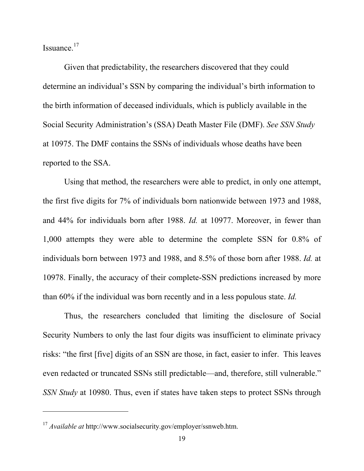Issuance.<sup>17</sup>

 $\overline{a}$ 

Given that predictability, the researchers discovered that they could determine an individual's SSN by comparing the individual's birth information to the birth information of deceased individuals, which is publicly available in the Social Security Administration's (SSA) Death Master File (DMF). *See SSN Study*  at 10975. The DMF contains the SSNs of individuals whose deaths have been reported to the SSA.

Using that method, the researchers were able to predict, in only one attempt, the first five digits for 7% of individuals born nationwide between 1973 and 1988, and 44% for individuals born after 1988. *Id.* at 10977. Moreover, in fewer than 1,000 attempts they were able to determine the complete SSN for 0.8% of individuals born between 1973 and 1988, and 8.5% of those born after 1988. *Id.* at 10978. Finally, the accuracy of their complete-SSN predictions increased by more than 60% if the individual was born recently and in a less populous state. *Id.*

Thus, the researchers concluded that limiting the disclosure of Social Security Numbers to only the last four digits was insufficient to eliminate privacy risks: "the first [five] digits of an SSN are those, in fact, easier to infer. This leaves even redacted or truncated SSNs still predictable—and, therefore, still vulnerable." *SSN Study* at 10980. Thus, even if states have taken steps to protect SSNs through

<sup>17</sup> *Available at* http://www.socialsecurity.gov/employer/ssnweb.htm.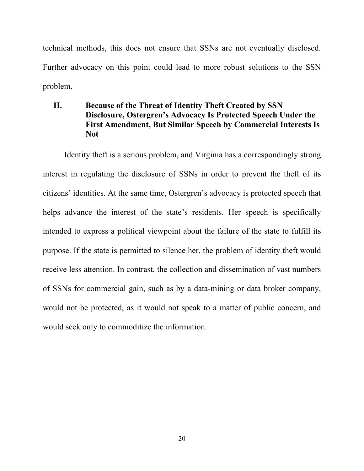technical methods, this does not ensure that SSNs are not eventually disclosed. Further advocacy on this point could lead to more robust solutions to the SSN problem.

### **II. Because of the Threat of Identity Theft Created by SSN Disclosure, Ostergren's Advocacy Is Protected Speech Under the First Amendment, But Similar Speech by Commercial Interests Is Not**

Identity theft is a serious problem, and Virginia has a correspondingly strong interest in regulating the disclosure of SSNs in order to prevent the theft of its citizens' identities. At the same time, Ostergren's advocacy is protected speech that helps advance the interest of the state's residents. Her speech is specifically intended to express a political viewpoint about the failure of the state to fulfill its purpose. If the state is permitted to silence her, the problem of identity theft would receive less attention. In contrast, the collection and dissemination of vast numbers of SSNs for commercial gain, such as by a data-mining or data broker company, would not be protected, as it would not speak to a matter of public concern, and would seek only to commoditize the information.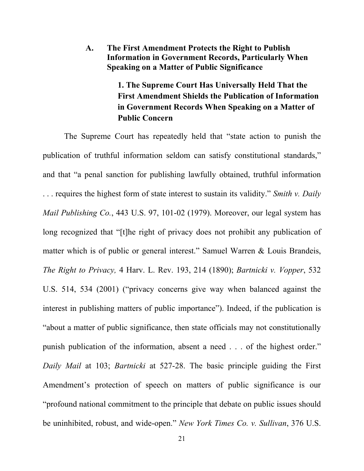**A. The First Amendment Protects the Right to Publish Information in Government Records, Particularly When Speaking on a Matter of Public Significance**

> **1. The Supreme Court Has Universally Held That the First Amendment Shields the Publication of Information in Government Records When Speaking on a Matter of Public Concern**

The Supreme Court has repeatedly held that "state action to punish the publication of truthful information seldom can satisfy constitutional standards," and that "a penal sanction for publishing lawfully obtained, truthful information . . . requires the highest form of state interest to sustain its validity." *Smith v. Daily Mail Publishing Co.*, 443 U.S. 97, 101-02 (1979). Moreover, our legal system has long recognized that "[t]he right of privacy does not prohibit any publication of matter which is of public or general interest." Samuel Warren & Louis Brandeis, *The Right to Privacy,* 4 Harv. L. Rev. 193, 214 (1890); *Bartnicki v. Vopper*, 532 U.S. 514, 534 (2001) ("privacy concerns give way when balanced against the interest in publishing matters of public importance"). Indeed, if the publication is "about a matter of public significance, then state officials may not constitutionally punish publication of the information, absent a need . . . of the highest order." *Daily Mail* at 103; *Bartnicki* at 527-28. The basic principle guiding the First Amendment's protection of speech on matters of public significance is our "profound national commitment to the principle that debate on public issues should be uninhibited, robust, and wide-open." *New York Times Co. v. Sullivan*, 376 U.S.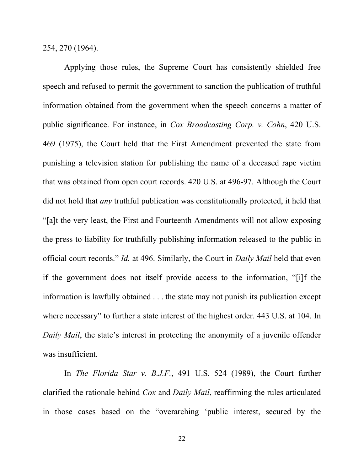254, 270 (1964).

Applying those rules, the Supreme Court has consistently shielded free speech and refused to permit the government to sanction the publication of truthful information obtained from the government when the speech concerns a matter of public significance. For instance, in *Cox Broadcasting Corp. v. Cohn*, 420 U.S. 469 (1975), the Court held that the First Amendment prevented the state from punishing a television station for publishing the name of a deceased rape victim that was obtained from open court records. 420 U.S. at 496-97. Although the Court did not hold that *any* truthful publication was constitutionally protected, it held that "[a]t the very least, the First and Fourteenth Amendments will not allow exposing the press to liability for truthfully publishing information released to the public in official court records." *Id.* at 496. Similarly, the Court in *Daily Mail* held that even if the government does not itself provide access to the information, "[i]f the information is lawfully obtained . . . the state may not punish its publication except where necessary" to further a state interest of the highest order. 443 U.S. at 104. In *Daily Mail*, the state's interest in protecting the anonymity of a juvenile offender was insufficient.

In *The Florida Star v. B.J.F.*, 491 U.S. 524 (1989), the Court further clarified the rationale behind *Cox* and *Daily Mail*, reaffirming the rules articulated in those cases based on the "overarching 'public interest, secured by the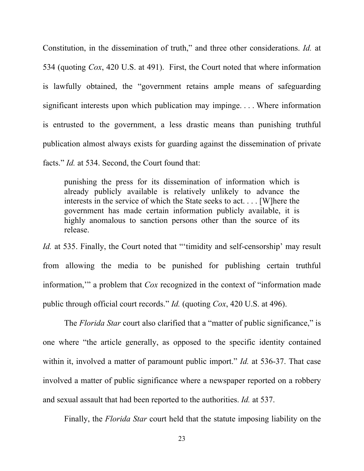Constitution, in the dissemination of truth," and three other considerations. *Id.* at 534 (quoting *Cox*, 420 U.S. at 491). First, the Court noted that where information is lawfully obtained, the "government retains ample means of safeguarding significant interests upon which publication may impinge. . . . Where information is entrusted to the government, a less drastic means than punishing truthful publication almost always exists for guarding against the dissemination of private facts." *Id.* at 534. Second, the Court found that:

punishing the press for its dissemination of information which is already publicly available is relatively unlikely to advance the interests in the service of which the State seeks to act. . . . [W]here the government has made certain information publicly available, it is highly anomalous to sanction persons other than the source of its release.

*Id.* at 535. Finally, the Court noted that "'timidity and self-censorship' may result from allowing the media to be punished for publishing certain truthful information,'" a problem that *Cox* recognized in the context of "information made public through official court records." *Id.* (quoting *Cox*, 420 U.S. at 496).

The *Florida Star* court also clarified that a "matter of public significance," is one where "the article generally, as opposed to the specific identity contained within it, involved a matter of paramount public import." *Id.* at 536-37. That case involved a matter of public significance where a newspaper reported on a robbery and sexual assault that had been reported to the authorities. *Id.* at 537.

Finally, the *Florida Star* court held that the statute imposing liability on the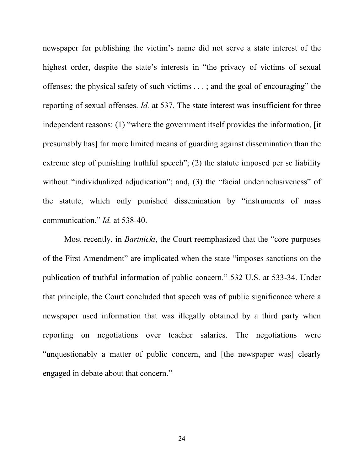newspaper for publishing the victim's name did not serve a state interest of the highest order, despite the state's interests in "the privacy of victims of sexual offenses; the physical safety of such victims . . . ; and the goal of encouraging" the reporting of sexual offenses. *Id.* at 537. The state interest was insufficient for three independent reasons: (1) "where the government itself provides the information, [it presumably has] far more limited means of guarding against dissemination than the extreme step of punishing truthful speech"; (2) the statute imposed per se liability without "individualized adjudication"; and, (3) the "facial underinclusiveness" of the statute, which only punished dissemination by "instruments of mass communication." *Id.* at 538-40.

Most recently, in *Bartnicki*, the Court reemphasized that the "core purposes of the First Amendment" are implicated when the state "imposes sanctions on the publication of truthful information of public concern." 532 U.S. at 533-34. Under that principle, the Court concluded that speech was of public significance where a newspaper used information that was illegally obtained by a third party when reporting on negotiations over teacher salaries. The negotiations were "unquestionably a matter of public concern, and [the newspaper was] clearly engaged in debate about that concern."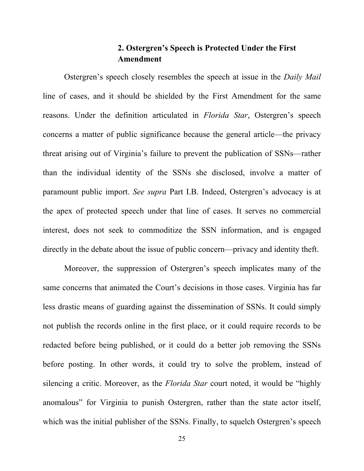### **2. Ostergren's Speech is Protected Under the First Amendment**

Ostergren's speech closely resembles the speech at issue in the *Daily Mail* line of cases, and it should be shielded by the First Amendment for the same reasons. Under the definition articulated in *Florida Star*, Ostergren's speech concerns a matter of public significance because the general article—the privacy threat arising out of Virginia's failure to prevent the publication of SSNs—rather than the individual identity of the SSNs she disclosed, involve a matter of paramount public import. *See supra* Part I.B. Indeed, Ostergren's advocacy is at the apex of protected speech under that line of cases. It serves no commercial interest, does not seek to commoditize the SSN information, and is engaged directly in the debate about the issue of public concern—privacy and identity theft.

Moreover, the suppression of Ostergren's speech implicates many of the same concerns that animated the Court's decisions in those cases. Virginia has far less drastic means of guarding against the dissemination of SSNs. It could simply not publish the records online in the first place, or it could require records to be redacted before being published, or it could do a better job removing the SSNs before posting. In other words, it could try to solve the problem, instead of silencing a critic. Moreover, as the *Florida Star* court noted, it would be "highly anomalous" for Virginia to punish Ostergren, rather than the state actor itself, which was the initial publisher of the SSNs. Finally, to squelch Ostergren's speech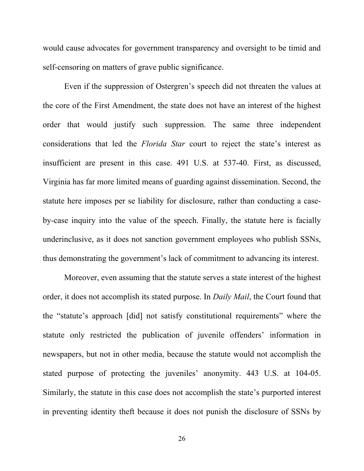would cause advocates for government transparency and oversight to be timid and self-censoring on matters of grave public significance.

Even if the suppression of Ostergren's speech did not threaten the values at the core of the First Amendment, the state does not have an interest of the highest order that would justify such suppression. The same three independent considerations that led the *Florida Star* court to reject the state's interest as insufficient are present in this case. 491 U.S. at 537-40. First, as discussed, Virginia has far more limited means of guarding against dissemination. Second, the statute here imposes per se liability for disclosure, rather than conducting a caseby-case inquiry into the value of the speech. Finally, the statute here is facially underinclusive, as it does not sanction government employees who publish SSNs, thus demonstrating the government's lack of commitment to advancing its interest.

Moreover, even assuming that the statute serves a state interest of the highest order, it does not accomplish its stated purpose. In *Daily Mail*, the Court found that the "statute's approach [did] not satisfy constitutional requirements" where the statute only restricted the publication of juvenile offenders' information in newspapers, but not in other media, because the statute would not accomplish the stated purpose of protecting the juveniles' anonymity. 443 U.S. at 104-05. Similarly, the statute in this case does not accomplish the state's purported interest in preventing identity theft because it does not punish the disclosure of SSNs by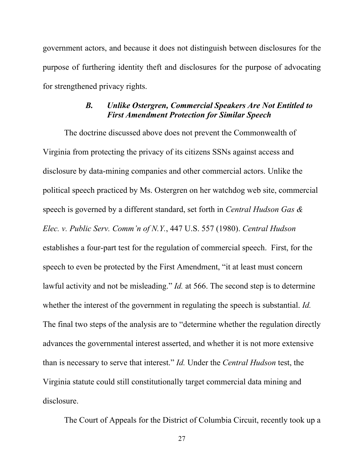government actors, and because it does not distinguish between disclosures for the purpose of furthering identity theft and disclosures for the purpose of advocating for strengthened privacy rights.

#### *B. Unlike Ostergren, Commercial Speakers Are Not Entitled to First Amendment Protection for Similar Speech*

The doctrine discussed above does not prevent the Commonwealth of Virginia from protecting the privacy of its citizens SSNs against access and disclosure by data-mining companies and other commercial actors. Unlike the political speech practiced by Ms. Ostergren on her watchdog web site, commercial speech is governed by a different standard, set forth in *Central Hudson Gas & Elec. v. Public Serv. Comm'n of N.Y.*, 447 U.S. 557 (1980). *Central Hudson* establishes a four-part test for the regulation of commercial speech. First, for the speech to even be protected by the First Amendment, "it at least must concern lawful activity and not be misleading." *Id.* at 566. The second step is to determine whether the interest of the government in regulating the speech is substantial. *Id.* The final two steps of the analysis are to "determine whether the regulation directly advances the governmental interest asserted, and whether it is not more extensive than is necessary to serve that interest." *Id.* Under the *Central Hudson* test, the Virginia statute could still constitutionally target commercial data mining and disclosure.

The Court of Appeals for the District of Columbia Circuit, recently took up a

27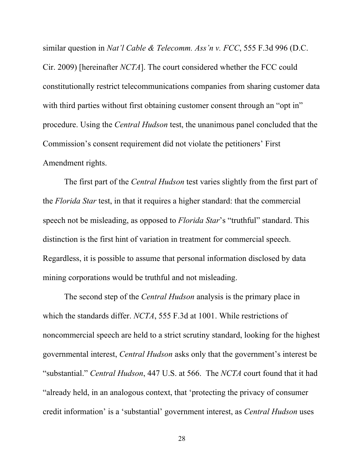similar question in *Nat'l Cable & Telecomm. Ass'n v. FCC*, 555 F.3d 996 (D.C. Cir. 2009) [hereinafter *NCTA*]. The court considered whether the FCC could constitutionally restrict telecommunications companies from sharing customer data with third parties without first obtaining customer consent through an "opt in" procedure. Using the *Central Hudson* test, the unanimous panel concluded that the Commission's consent requirement did not violate the petitioners' First Amendment rights.

The first part of the *Central Hudson* test varies slightly from the first part of the *Florida Star* test, in that it requires a higher standard: that the commercial speech not be misleading, as opposed to *Florida Star*'s "truthful" standard. This distinction is the first hint of variation in treatment for commercial speech. Regardless, it is possible to assume that personal information disclosed by data mining corporations would be truthful and not misleading.

The second step of the *Central Hudson* analysis is the primary place in which the standards differ. *NCTA*, 555 F.3d at 1001. While restrictions of noncommercial speech are held to a strict scrutiny standard, looking for the highest governmental interest, *Central Hudson* asks only that the government's interest be "substantial." *Central Hudson*, 447 U.S. at 566. The *NCTA* court found that it had "already held, in an analogous context, that 'protecting the privacy of consumer credit information' is a 'substantial' government interest, as *Central Hudson* uses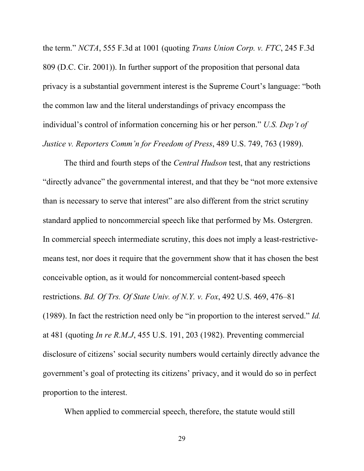the term." *NCTA*, 555 F.3d at 1001 (quoting *Trans Union Corp. v. FTC*, 245 F.3d 809 (D.C. Cir. 2001)). In further support of the proposition that personal data privacy is a substantial government interest is the Supreme Court's language: "both the common law and the literal understandings of privacy encompass the individual's control of information concerning his or her person." *U.S. Dep't of Justice v. Reporters Comm'n for Freedom of Press*, 489 U.S. 749, 763 (1989).

The third and fourth steps of the *Central Hudson* test, that any restrictions "directly advance" the governmental interest, and that they be "not more extensive than is necessary to serve that interest" are also different from the strict scrutiny standard applied to noncommercial speech like that performed by Ms. Ostergren. In commercial speech intermediate scrutiny, this does not imply a least-restrictivemeans test, nor does it require that the government show that it has chosen the best conceivable option, as it would for noncommercial content-based speech restrictions. *Bd. Of Trs. Of State Univ. of N.Y. v. Fox*, 492 U.S. 469, 476–81 (1989). In fact the restriction need only be "in proportion to the interest served." *Id.*  at 481 (quoting *In re R.M.J*, 455 U.S. 191, 203 (1982). Preventing commercial disclosure of citizens' social security numbers would certainly directly advance the government's goal of protecting its citizens' privacy, and it would do so in perfect proportion to the interest.

When applied to commercial speech, therefore, the statute would still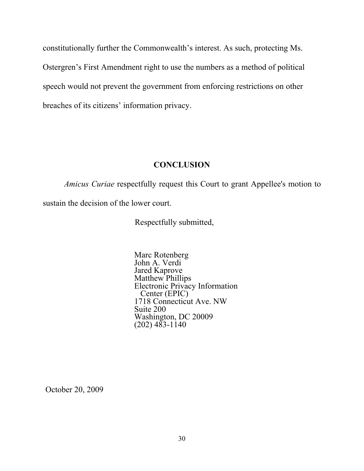constitutionally further the Commonwealth's interest. As such, protecting Ms. Ostergren's First Amendment right to use the numbers as a method of political speech would not prevent the government from enforcing restrictions on other breaches of its citizens' information privacy.

#### **CONCLUSION**

*Amicus Curiae* respectfully request this Court to grant Appellee's motion to sustain the decision of the lower court.

Respectfully submitted,

Marc Rotenberg John A. Verdi Jared Kaprove Matthew Phillips Electronic Privacy Information Center (EPIC) 1718 Connecticut Ave. NW Suite 200 Washington, DC 20009  $(202)$  483-1140

October 20, 2009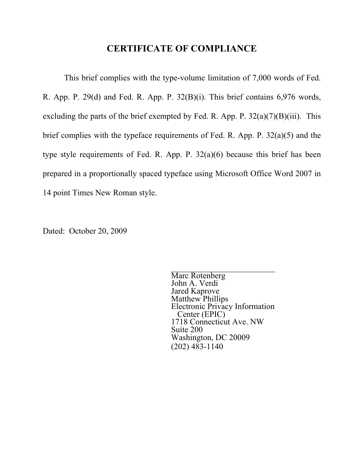### **CERTIFICATE OF COMPLIANCE**

This brief complies with the type-volume limitation of 7,000 words of Fed. R. App. P. 29(d) and Fed. R. App. P. 32(B)(i). This brief contains 6,976 words, excluding the parts of the brief exempted by Fed. R. App. P.  $32(a)(7)(B)(iii)$ . This brief complies with the typeface requirements of Fed. R. App. P. 32(a)(5) and the type style requirements of Fed. R. App. P. 32(a)(6) because this brief has been prepared in a proportionally spaced typeface using Microsoft Office Word 2007 in 14 point Times New Roman style.

Dated: October 20, 2009

Marc Rotenberg John A. Verdi Jared Kaprove Matthew Phillips Electronic Privacy Information Center (EPIC) 1718 Connecticut Ave. NW Suite 200 Washington, DC 20009 (202) 483-1140